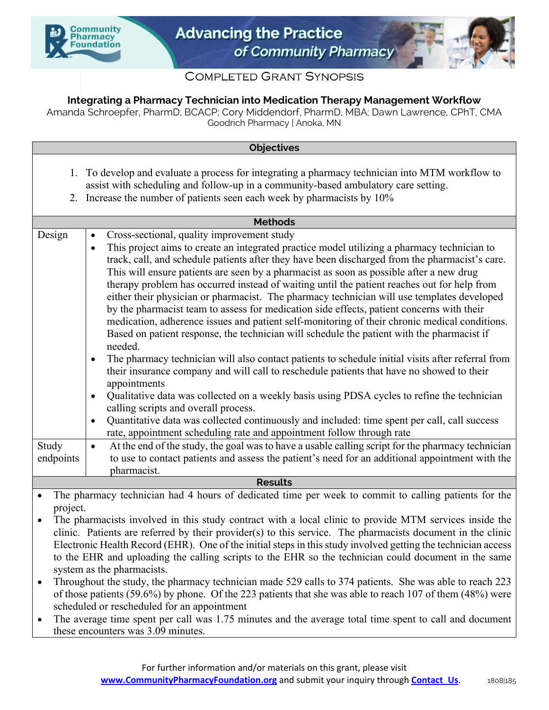



## **COMPLETED GRANT SYNOPSIS**

## **Integrating a Pharmacy Technician into Medication Therapy Management Workflow**

Amanda Schroepfer, PharmD, BCACP; Cory Middendorf, PharmD, MBA; Dawn Lawrence, CPhT, CMA Goodrich Pharmacy | Anoka, MN

| <b>Objectives</b>                |                                                                                                                                                                                                                                                                                                                                                                                                                                                                                                                                                                                                                                                                                                                                                                                                                                            |
|----------------------------------|--------------------------------------------------------------------------------------------------------------------------------------------------------------------------------------------------------------------------------------------------------------------------------------------------------------------------------------------------------------------------------------------------------------------------------------------------------------------------------------------------------------------------------------------------------------------------------------------------------------------------------------------------------------------------------------------------------------------------------------------------------------------------------------------------------------------------------------------|
| 1.                               | To develop and evaluate a process for integrating a pharmacy technician into MTM workflow to<br>assist with scheduling and follow-up in a community-based ambulatory care setting.                                                                                                                                                                                                                                                                                                                                                                                                                                                                                                                                                                                                                                                         |
|                                  | 2. Increase the number of patients seen each week by pharmacists by 10%                                                                                                                                                                                                                                                                                                                                                                                                                                                                                                                                                                                                                                                                                                                                                                    |
| <b>Methods</b>                   |                                                                                                                                                                                                                                                                                                                                                                                                                                                                                                                                                                                                                                                                                                                                                                                                                                            |
| Design<br>$\bullet$<br>$\bullet$ | Cross-sectional, quality improvement study<br>This project aims to create an integrated practice model utilizing a pharmacy technician to<br>track, call, and schedule patients after they have been discharged from the pharmacist's care.<br>This will ensure patients are seen by a pharmacist as soon as possible after a new drug<br>therapy problem has occurred instead of waiting until the patient reaches out for help from<br>either their physician or pharmacist. The pharmacy technician will use templates developed<br>by the pharmacist team to assess for medication side effects, patient concerns with their<br>medication, adherence issues and patient self-monitoring of their chronic medical conditions.<br>Based on patient response, the technician will schedule the patient with the pharmacist if<br>needed. |
| $\bullet$                        | The pharmacy technician will also contact patients to schedule initial visits after referral from<br>their insurance company and will call to reschedule patients that have no showed to their<br>appointments                                                                                                                                                                                                                                                                                                                                                                                                                                                                                                                                                                                                                             |
| $\bullet$                        | Qualitative data was collected on a weekly basis using PDSA cycles to refine the technician<br>calling scripts and overall process.                                                                                                                                                                                                                                                                                                                                                                                                                                                                                                                                                                                                                                                                                                        |
| $\bullet$                        | Quantitative data was collected continuously and included: time spent per call, call success<br>rate, appointment scheduling rate and appointment follow through rate                                                                                                                                                                                                                                                                                                                                                                                                                                                                                                                                                                                                                                                                      |
| Study<br>$\bullet$<br>endpoints  | At the end of the study, the goal was to have a usable calling script for the pharmacy technician<br>to use to contact patients and assess the patient's need for an additional appointment with the<br>pharmacist.                                                                                                                                                                                                                                                                                                                                                                                                                                                                                                                                                                                                                        |
| <b>Results</b>                   |                                                                                                                                                                                                                                                                                                                                                                                                                                                                                                                                                                                                                                                                                                                                                                                                                                            |

• The pharmacy technician had 4 hours of dedicated time per week to commit to calling patients for the project.

The pharmacists involved in this study contract with a local clinic to provide MTM services inside the clinic. Patients are referred by their provider(s) to this service. The pharmacists document in the clinic Electronic Health Record (EHR). One of the initial steps in this study involved getting the technician access to the EHR and uploading the calling scripts to the EHR so the technician could document in the same system as the pharmacists.

- Throughout the study, the pharmacy technician made 529 calls to 374 patients. She was able to reach 223 of those patients (59.6%) by phone. Of the 223 patients that she was able to reach 107 of them (48%) were scheduled or rescheduled for an appointment
- The average time spent per call was 1.75 minutes and the average total time spent to call and document these encounters was 3.09 minutes.